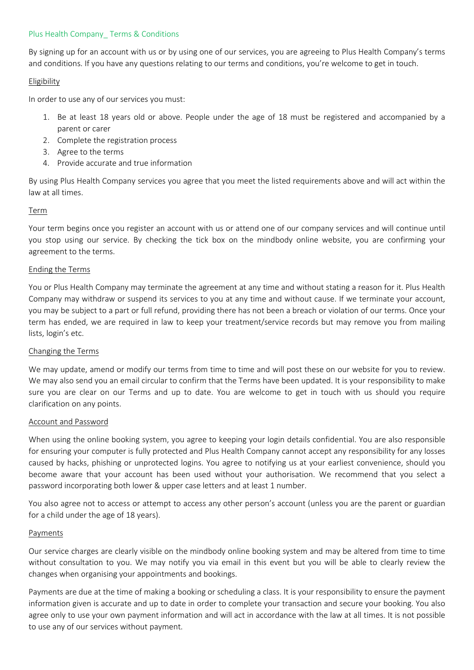## Plus Health Company Terms & Conditions

By signing up for an account with us or by using one of our services, you are agreeing to Plus Health Company's terms and conditions. If you have any questions relating to our terms and conditions, you're welcome to get in touch.

### Eligibility

In order to use any of our services you must:

- 1. Be at least 18 years old or above. People under the age of 18 must be registered and accompanied by a parent or carer
- 2. Complete the registration process
- 3. Agree to the terms
- 4. Provide accurate and true information

By using Plus Health Company services you agree that you meet the listed requirements above and will act within the law at all times.

# Term

Your term begins once you register an account with us or attend one of our company services and will continue until you stop using our service. By checking the tick box on the mindbody online website, you are confirming your agreement to the terms.

## Ending the Terms

You or Plus Health Company may terminate the agreement at any time and without stating a reason for it. Plus Health Company may withdraw or suspend its services to you at any time and without cause. If we terminate your account, you may be subject to a part or full refund, providing there has not been a breach or violation of our terms. Once your term has ended, we are required in law to keep your treatment/service records but may remove you from mailing lists, login's etc.

### Changing the Terms

We may update, amend or modify our terms from time to time and will post these on our website for you to review. We may also send you an email circular to confirm that the Terms have been updated. It is your responsibility to make sure you are clear on our Terms and up to date. You are welcome to get in touch with us should you require clarification on any points.

### Account and Password

When using the online booking system, you agree to keeping your login details confidential. You are also responsible for ensuring your computer is fully protected and Plus Health Company cannot accept any responsibility for any losses caused by hacks, phishing or unprotected logins. You agree to notifying us at your earliest convenience, should you become aware that your account has been used without your authorisation. We recommend that you select a password incorporating both lower & upper case letters and at least 1 number.

You also agree not to access or attempt to access any other person's account (unless you are the parent or guardian for a child under the age of 18 years).

### Payments

Our service charges are clearly visible on the mindbody online booking system and may be altered from time to time without consultation to you. We may notify you via email in this event but you will be able to clearly review the changes when organising your appointments and bookings.

Payments are due at the time of making a booking or scheduling a class. It is your responsibility to ensure the payment information given is accurate and up to date in order to complete your transaction and secure your booking. You also agree only to use your own payment information and will act in accordance with the law at all times. It is not possible to use any of our services without payment.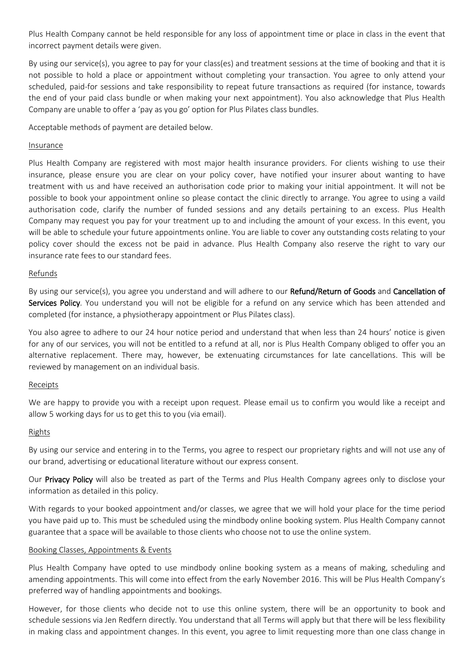Plus Health Company cannot be held responsible for any loss of appointment time or place in class in the event that incorrect payment details were given.

By using our service(s), you agree to pay for your class(es) and treatment sessions at the time of booking and that it is not possible to hold a place or appointment without completing your transaction. You agree to only attend your scheduled, paid-for sessions and take responsibility to repeat future transactions as required (for instance, towards the end of your paid class bundle or when making your next appointment). You also acknowledge that Plus Health Company are unable to offer a 'pay as you go' option for Plus Pilates class bundles.

Acceptable methods of payment are detailed below.

## Insurance

Plus Health Company are registered with most major health insurance providers. For clients wishing to use their insurance, please ensure you are clear on your policy cover, have notified your insurer about wanting to have treatment with us and have received an authorisation code prior to making your initial appointment. It will not be possible to book your appointment online so please contact the clinic directly to arrange. You agree to using a vaild authorisation code, clarify the number of funded sessions and any details pertaining to an excess. Plus Health Company may request you pay for your treatment up to and including the amount of your excess. In this event, you will be able to schedule your future appointments online. You are liable to cover any outstanding costs relating to your policy cover should the excess not be paid in advance. Plus Health Company also reserve the right to vary our insurance rate fees to our standard fees.

## Refunds

By using our service(s), you agree you understand and will adhere to our Refund/Return of Goods and Cancellation of Services Policy. You understand you will not be eligible for a refund on any service which has been attended and completed (for instance, a physiotherapy appointment or Plus Pilates class).

You also agree to adhere to our 24 hour notice period and understand that when less than 24 hours' notice is given for any of our services, you will not be entitled to a refund at all, nor is Plus Health Company obliged to offer you an alternative replacement. There may, however, be extenuating circumstances for late cancellations. This will be reviewed by management on an individual basis.

### Receipts

We are happy to provide you with a receipt upon request. Please email us to confirm you would like a receipt and allow 5 working days for us to get this to you (via email).

### Rights

By using our service and entering in to the Terms, you agree to respect our proprietary rights and will not use any of our brand, advertising or educational literature without our express consent.

Our Privacy Policy will also be treated as part of the Terms and Plus Health Company agrees only to disclose your information as detailed in this policy.

With regards to your booked appointment and/or classes, we agree that we will hold your place for the time period you have paid up to. This must be scheduled using the mindbody online booking system. Plus Health Company cannot guarantee that a space will be available to those clients who choose not to use the online system.

### Booking Classes, Appointments & Events

Plus Health Company have opted to use mindbody online booking system as a means of making, scheduling and amending appointments. This will come into effect from the early November 2016. This will be Plus Health Company's preferred way of handling appointments and bookings.

However, for those clients who decide not to use this online system, there will be an opportunity to book and schedule sessions via Jen Redfern directly. You understand that all Terms will apply but that there will be less flexibility in making class and appointment changes. In this event, you agree to limit requesting more than one class change in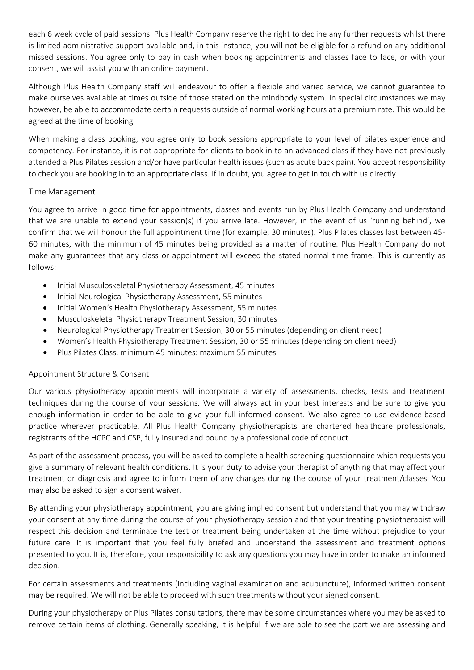each 6 week cycle of paid sessions. Plus Health Company reserve the right to decline any further requests whilst there is limited administrative support available and, in this instance, you will not be eligible for a refund on any additional missed sessions. You agree only to pay in cash when booking appointments and classes face to face, or with your consent, we will assist you with an online payment.

Although Plus Health Company staff will endeavour to offer a flexible and varied service, we cannot guarantee to make ourselves available at times outside of those stated on the mindbody system. In special circumstances we may however, be able to accommodate certain requests outside of normal working hours at a premium rate. This would be agreed at the time of booking.

When making a class booking, you agree only to book sessions appropriate to your level of pilates experience and competency. For instance, it is not appropriate for clients to book in to an advanced class if they have not previously attended a Plus Pilates session and/or have particular health issues (such as acute back pain). You accept responsibility to check you are booking in to an appropriate class. If in doubt, you agree to get in touch with us directly.

## Time Management

You agree to arrive in good time for appointments, classes and events run by Plus Health Company and understand that we are unable to extend your session(s) if you arrive late. However, in the event of us 'running behind', we confirm that we will honour the full appointment time (for example, 30 minutes). Plus Pilates classes last between 45- 60 minutes, with the minimum of 45 minutes being provided as a matter of routine. Plus Health Company do not make any guarantees that any class or appointment will exceed the stated normal time frame. This is currently as follows:

- Initial Musculoskeletal Physiotherapy Assessment, 45 minutes
- Initial Neurological Physiotherapy Assessment, 55 minutes
- Initial Women's Health Physiotherapy Assessment, 55 minutes
- Musculoskeletal Physiotherapy Treatment Session, 30 minutes
- Neurological Physiotherapy Treatment Session, 30 or 55 minutes (depending on client need)
- Women's Health Physiotherapy Treatment Session, 30 or 55 minutes (depending on client need)
- Plus Pilates Class, minimum 45 minutes: maximum 55 minutes

# Appointment Structure & Consent

Our various physiotherapy appointments will incorporate a variety of assessments, checks, tests and treatment techniques during the course of your sessions. We will always act in your best interests and be sure to give you enough information in order to be able to give your full informed consent. We also agree to use evidence-based practice wherever practicable. All Plus Health Company physiotherapists are chartered healthcare professionals, registrants of the HCPC and CSP, fully insured and bound by a professional code of conduct.

As part of the assessment process, you will be asked to complete a health screening questionnaire which requests you give a summary of relevant health conditions. It is your duty to advise your therapist of anything that may affect your treatment or diagnosis and agree to inform them of any changes during the course of your treatment/classes. You may also be asked to sign a consent waiver.

By attending your physiotherapy appointment, you are giving implied consent but understand that you may withdraw your consent at any time during the course of your physiotherapy session and that your treating physiotherapist will respect this decision and terminate the test or treatment being undertaken at the time without prejudice to your future care. It is important that you feel fully briefed and understand the assessment and treatment options presented to you. It is, therefore, your responsibility to ask any questions you may have in order to make an informed decision.

For certain assessments and treatments (including vaginal examination and acupuncture), informed written consent may be required. We will not be able to proceed with such treatments without your signed consent.

During your physiotherapy or Plus Pilates consultations, there may be some circumstances where you may be asked to remove certain items of clothing. Generally speaking, it is helpful if we are able to see the part we are assessing and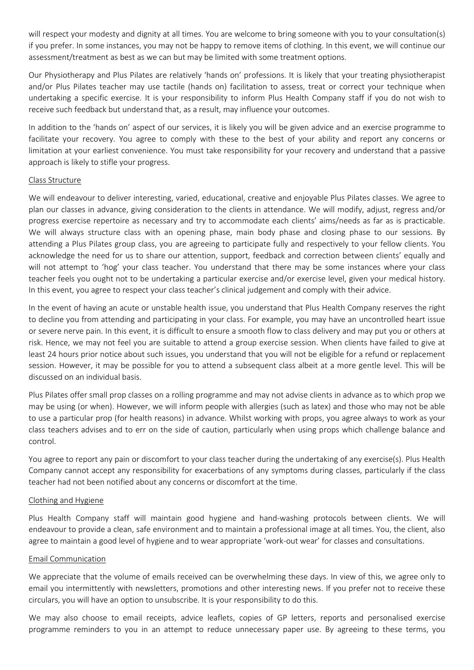will respect your modesty and dignity at all times. You are welcome to bring someone with you to your consultation(s) if you prefer. In some instances, you may not be happy to remove items of clothing. In this event, we will continue our assessment/treatment as best as we can but may be limited with some treatment options.

Our Physiotherapy and Plus Pilates are relatively 'hands on' professions. It is likely that your treating physiotherapist and/or Plus Pilates teacher may use tactile (hands on) facilitation to assess, treat or correct your technique when undertaking a specific exercise. It is your responsibility to inform Plus Health Company staff if you do not wish to receive such feedback but understand that, as a result, may influence your outcomes.

In addition to the 'hands on' aspect of our services, it is likely you will be given advice and an exercise programme to facilitate your recovery. You agree to comply with these to the best of your ability and report any concerns or limitation at your earliest convenience. You must take responsibility for your recovery and understand that a passive approach is likely to stifle your progress.

### Class Structure

We will endeavour to deliver interesting, varied, educational, creative and enjoyable Plus Pilates classes. We agree to plan our classes in advance, giving consideration to the clients in attendance. We will modify, adjust, regress and/or progress exercise repertoire as necessary and try to accommodate each clients' aims/needs as far as is practicable. We will always structure class with an opening phase, main body phase and closing phase to our sessions. By attending a Plus Pilates group class, you are agreeing to participate fully and respectively to your fellow clients. You acknowledge the need for us to share our attention, support, feedback and correction between clients' equally and will not attempt to 'hog' your class teacher. You understand that there may be some instances where your class teacher feels you ought not to be undertaking a particular exercise and/or exercise level, given your medical history. In this event, you agree to respect your class teacher's clinical judgement and comply with their advice.

In the event of having an acute or unstable health issue, you understand that Plus Health Company reserves the right to decline you from attending and participating in your class. For example, you may have an uncontrolled heart issue or severe nerve pain. In this event, it is difficult to ensure a smooth flow to class delivery and may put you or others at risk. Hence, we may not feel you are suitable to attend a group exercise session. When clients have failed to give at least 24 hours prior notice about such issues, you understand that you will not be eligible for a refund or replacement session. However, it may be possible for you to attend a subsequent class albeit at a more gentle level. This will be discussed on an individual basis.

Plus Pilates offer small prop classes on a rolling programme and may not advise clients in advance as to which prop we may be using (or when). However, we will inform people with allergies (such as latex) and those who may not be able to use a particular prop (for health reasons) in advance. Whilst working with props, you agree always to work as your class teachers advises and to err on the side of caution, particularly when using props which challenge balance and control.

You agree to report any pain or discomfort to your class teacher during the undertaking of any exercise(s). Plus Health Company cannot accept any responsibility for exacerbations of any symptoms during classes, particularly if the class teacher had not been notified about any concerns or discomfort at the time.

### Clothing and Hygiene

Plus Health Company staff will maintain good hygiene and hand-washing protocols between clients. We will endeavour to provide a clean, safe environment and to maintain a professional image at all times. You, the client, also agree to maintain a good level of hygiene and to wear appropriate 'work-out wear' for classes and consultations.

#### Email Communication

We appreciate that the volume of emails received can be overwhelming these days. In view of this, we agree only to email you intermittently with newsletters, promotions and other interesting news. If you prefer not to receive these circulars, you will have an option to unsubscribe. It is your responsibility to do this.

We may also choose to email receipts, advice leaflets, copies of GP letters, reports and personalised exercise programme reminders to you in an attempt to reduce unnecessary paper use. By agreeing to these terms, you